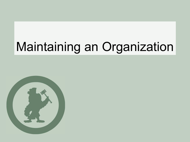# Maintaining an Organization

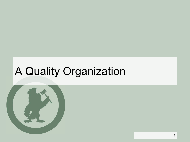## A Quality Organization

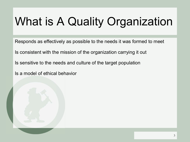# What is A Quality Organization

Responds as effectively as possible to the needs it was formed to meet

Is consistent with the mission of the organization carrying it out

Is sensitive to the needs and culture of the target population

Is a model of ethical behavior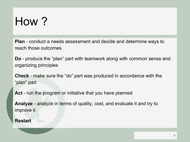# How ?

**Plan** - conduct a needs assessment and decide and determine ways to reach those outcomes

**Do** - produce the "plan" part with teamwork along with common sense and organizing principles

**Check** - make sure the "do" part was produced in accordance with the "plan" part

Act - run the program or initiative that you have planned

**Analyze** - analyze in terms of quality, cost, and evaluate it and try to improve it

#### **Restart**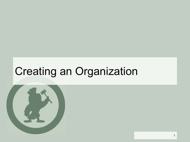## Creating an Organization

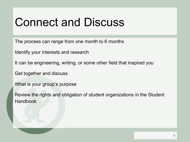#### Connect and Discuss

The process can range from one month to 6 months

Identify your interests and research

It can be engineering, writing, or some other field that inspired you

Get together and discuss

What is your group's purpose

Review the rights and obligation of student organizations in the Student Handbook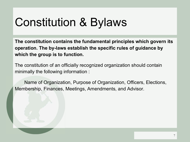# Constitution & Bylaws

**The constitution contains the fundamental principles which govern its operation. The by-laws establish the specific rules of guidance by which the group is to function.** 

The constitution of an officially recognized organization should contain minimally the following information :

Name of Organization, Purpose of Organization, Officers, Elections, Membership, Finances, Meetings, Amendments, and Advisor.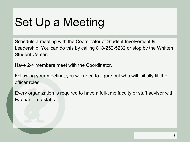# Set Up a Meeting

Schedule a meeting with the Coordinator of Student Involvement & Leadership. You can do this by calling 818-252-5232 or stop by the Whitten Student Center.

Have 2-4 members meet with the Coordinator.

Following your meeting, you will need to figure out who will initially fill the officer roles.

Every organization is required to have a full-time faculty or staff advisor with two part-time staffs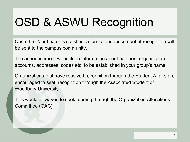# OSD & ASWU Recognition

Once the Coordinator is satisfied, a formal announcement of recognition will be sent to the campus community.

The announcement will include information about pertinent organization accounts, addresses, codes etc. to be established in your group's name.

Organizations that have received recognition through the Student Affairs are encouraged to seek recognition through the Associated Student of Woodbury University.

This would allow you to seek funding through the Organization Allocations Committee (OAC).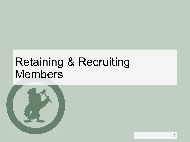## Retaining & Recruiting Members

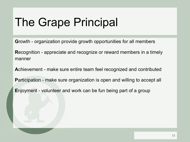## The Grape Principal

**G**rowth - organization provide growth opportunities for all members

**R**ecognition - appreciate and recognize or reward members in a timely manner

**A**chievement - make sure entire team feel recognized and contributed **P**articipation - make sure organization is open and willing to accept all

**E**njoyment - volunteer and work can be fun being part of a group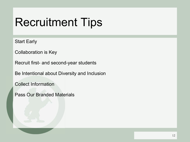## Recruitment Tips

Start Early

Collaboration is Key

Recruit first- and second-year students

Be Intentional about Diversity and Inclusion

Collect Information

Pass Our Branded Materials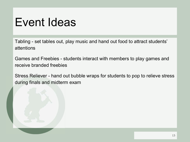#### Event Ideas

Tabling - set tables out, play music and hand out food to attract students' attentions

Games and Freebies - students interact with members to play games and receive branded freebies

Stress Reliever - hand out bubble wraps for students to pop to relieve stress during finals and midterm exam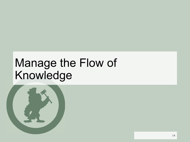# Manage the Flow of Knowledge

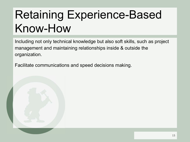# Retaining Experience-Based Know-How

Including not only technical knowledge but also soft skills, such as project management and maintaining relationships inside & outside the organization.

Facilitate communications and speed decisions making.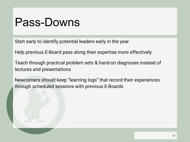#### Pass-Downs

Start early to identify potential leaders early in the year

Help previous E-Board pass along their expertise more effectively

Teach through practical problem sets & hand-on diagnoses instead of lectures and presentations

Newcomers should keep "learning logs" that record their experiences through scheduled sessions with previous E-Boards